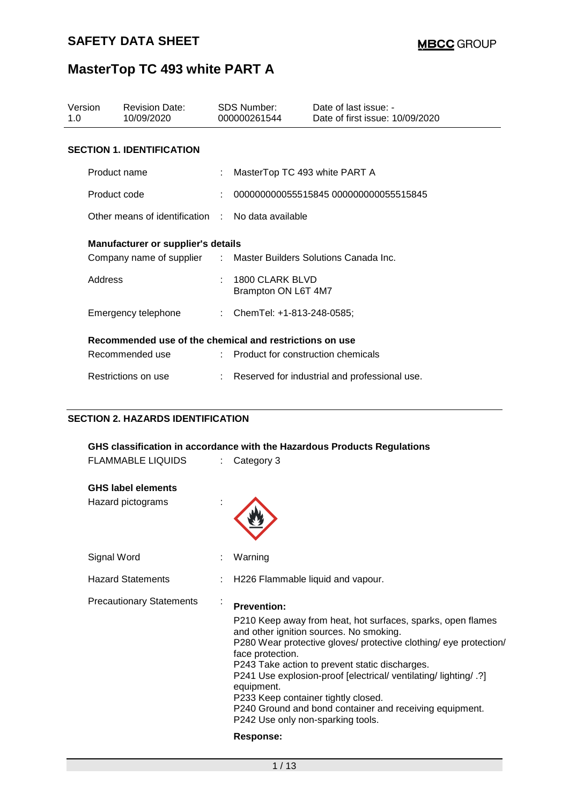| Version<br>1.0                                          | <b>Revision Date:</b><br>10/09/2020                              |  | <b>SDS Number:</b><br>000000261544     | Date of last issue: -<br>Date of first issue: 10/09/2020 |
|---------------------------------------------------------|------------------------------------------------------------------|--|----------------------------------------|----------------------------------------------------------|
|                                                         | <b>SECTION 1. IDENTIFICATION</b>                                 |  |                                        |                                                          |
|                                                         | Product name                                                     |  | MasterTop TC 493 white PART A          |                                                          |
|                                                         | Product code                                                     |  |                                        | 000000000055515845 000000000055515845                    |
|                                                         | Other means of identification : No data available                |  |                                        |                                                          |
|                                                         | <b>Manufacturer or supplier's details</b>                        |  |                                        |                                                          |
|                                                         | Company name of supplier : Master Builders Solutions Canada Inc. |  |                                        |                                                          |
| Address                                                 |                                                                  |  | 1800 CLARK BLVD<br>Brampton ON L6T 4M7 |                                                          |
|                                                         | Emergency telephone                                              |  | : ChemTel: $+1-813-248-0585$ ;         |                                                          |
| Recommended use of the chemical and restrictions on use |                                                                  |  |                                        |                                                          |
|                                                         | Recommended use                                                  |  | : Product for construction chemicals   |                                                          |
|                                                         | Restrictions on use                                              |  |                                        | Reserved for industrial and professional use.            |

### **SECTION 2. HAZARDS IDENTIFICATION**

|                                 | GHS classification in accordance with the Hazardous Products Regulations                               |
|---------------------------------|--------------------------------------------------------------------------------------------------------|
| <b>FLAMMABLE LIQUIDS</b>        | Category 3                                                                                             |
| <b>GHS label elements</b>       |                                                                                                        |
| Hazard pictograms               |                                                                                                        |
| Signal Word                     | Warning                                                                                                |
| <b>Hazard Statements</b>        | H226 Flammable liquid and vapour.                                                                      |
| <b>Precautionary Statements</b> | <b>Prevention:</b>                                                                                     |
|                                 | P210 Keep away from heat, hot surfaces, sparks, open flames<br>and other ignition sources. No smoking. |
|                                 | P280 Wear protective gloves/ protective clothing/ eye protection/<br>face protection.                  |
|                                 | P243 Take action to prevent static discharges.                                                         |
|                                 | P241 Use explosion-proof [electrical/ ventilating/ lighting/ .?]<br>equipment.                         |
|                                 | P233 Keep container tightly closed.                                                                    |
|                                 | P240 Ground and bond container and receiving equipment.<br>P242 Use only non-sparking tools.           |
|                                 | Response:                                                                                              |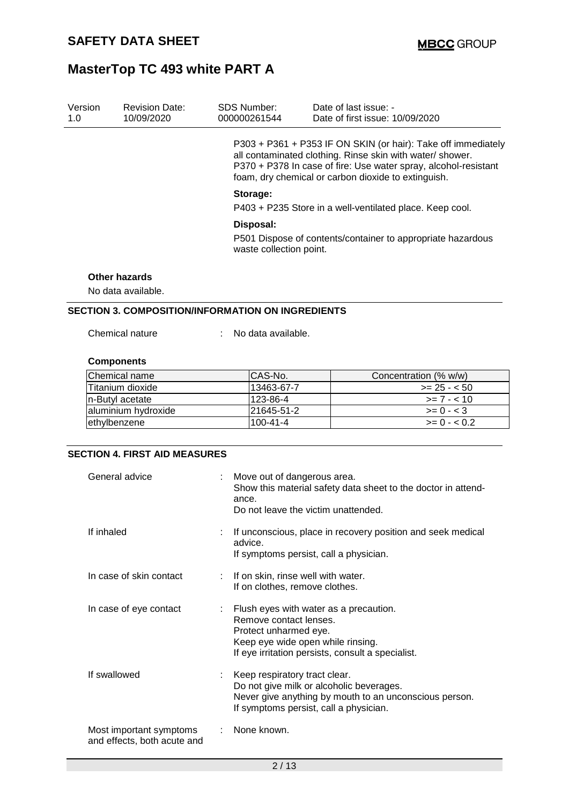| Version<br>1.0 | <b>Revision Date:</b><br>10/09/2020 | SDS Number:<br>000000261544 | Date of last issue: -<br>Date of first issue: 10/09/2020                                                                                                                                                                                             |  |  |
|----------------|-------------------------------------|-----------------------------|------------------------------------------------------------------------------------------------------------------------------------------------------------------------------------------------------------------------------------------------------|--|--|
|                |                                     |                             | P303 + P361 + P353 IF ON SKIN (or hair): Take off immediately<br>all contaminated clothing. Rinse skin with water/ shower.<br>P370 + P378 In case of fire: Use water spray, alcohol-resistant<br>foam, dry chemical or carbon dioxide to extinguish. |  |  |
|                |                                     | Storage:                    | P403 + P235 Store in a well-ventilated place. Keep cool.                                                                                                                                                                                             |  |  |
|                |                                     | Disposal:                   |                                                                                                                                                                                                                                                      |  |  |
|                |                                     | waste collection point.     | P501 Dispose of contents/container to appropriate hazardous                                                                                                                                                                                          |  |  |
|                | Other hazards<br>No data available. |                             |                                                                                                                                                                                                                                                      |  |  |

### **SECTION 3. COMPOSITION/INFORMATION ON INGREDIENTS**

Chemical nature : No data available.

### **Components**

| <b>Chemical name</b> | ICAS-No.       | Concentration (% w/w) |
|----------------------|----------------|-----------------------|
| lTitanium dioxide    | 13463-67-7     | $>= 25 - 50$          |
| In-Butyl acetate     | 123-86-4       | $\ge$ 7 - < 10        |
| laluminium hydroxide | 21645-51-2     | $>= 0 - 3$            |
| ethylbenzene         | $100 - 41 - 4$ | $>= 0 - 0.2$          |

#### **SECTION 4. FIRST AID MEASURES**

| General advice                                         | Move out of dangerous area.<br>Show this material safety data sheet to the doctor in attend-<br>ance.<br>Do not leave the victim unattended.                                        |
|--------------------------------------------------------|-------------------------------------------------------------------------------------------------------------------------------------------------------------------------------------|
| If inhaled                                             | If unconscious, place in recovery position and seek medical<br>advice.<br>If symptoms persist, call a physician.                                                                    |
| In case of skin contact                                | : If on skin, rinse well with water.<br>If on clothes, remove clothes.                                                                                                              |
| In case of eye contact                                 | Flush eyes with water as a precaution.<br>Remove contact lenses.<br>Protect unharmed eye.<br>Keep eye wide open while rinsing.<br>If eye irritation persists, consult a specialist. |
| If swallowed                                           | Keep respiratory tract clear.<br>Do not give milk or alcoholic beverages.<br>Never give anything by mouth to an unconscious person.<br>If symptoms persist, call a physician.       |
| Most important symptoms<br>and effects, both acute and | None known.                                                                                                                                                                         |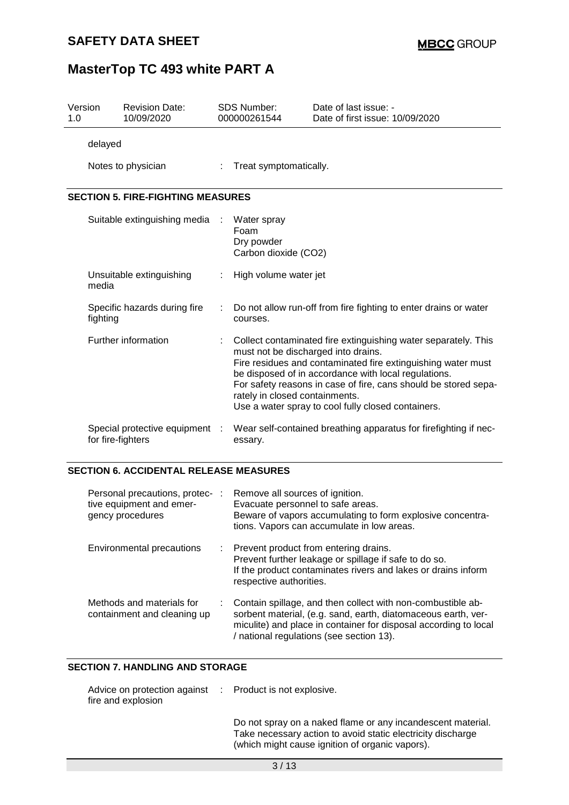| Version<br>1.0 |                                          | <b>Revision Date:</b><br>10/09/2020 |   | <b>SDS Number:</b><br>000000261544                                    | Date of last issue: -<br>Date of first issue: 10/09/2020                                                                                                                                                                                                                                                        |  |  |  |  |
|----------------|------------------------------------------|-------------------------------------|---|-----------------------------------------------------------------------|-----------------------------------------------------------------------------------------------------------------------------------------------------------------------------------------------------------------------------------------------------------------------------------------------------------------|--|--|--|--|
|                | delayed                                  |                                     |   |                                                                       |                                                                                                                                                                                                                                                                                                                 |  |  |  |  |
|                |                                          | Notes to physician                  | ÷ | Treat symptomatically.                                                |                                                                                                                                                                                                                                                                                                                 |  |  |  |  |
|                | <b>SECTION 5. FIRE-FIGHTING MEASURES</b> |                                     |   |                                                                       |                                                                                                                                                                                                                                                                                                                 |  |  |  |  |
|                |                                          | Suitable extinguishing media        |   | Water spray<br>Foam<br>Dry powder<br>Carbon dioxide (CO2)             |                                                                                                                                                                                                                                                                                                                 |  |  |  |  |
|                | media                                    | Unsuitable extinguishing            |   | High volume water jet                                                 |                                                                                                                                                                                                                                                                                                                 |  |  |  |  |
|                | fighting                                 | Specific hazards during fire        |   | courses.                                                              | Do not allow run-off from fire fighting to enter drains or water                                                                                                                                                                                                                                                |  |  |  |  |
|                |                                          | Further information                 |   | must not be discharged into drains.<br>rately in closed containments. | Collect contaminated fire extinguishing water separately. This<br>Fire residues and contaminated fire extinguishing water must<br>be disposed of in accordance with local regulations.<br>For safety reasons in case of fire, cans should be stored sepa-<br>Use a water spray to cool fully closed containers. |  |  |  |  |
|                | for fire-fighters                        | Special protective equipment        |   | essary.                                                               | Wear self-contained breathing apparatus for firefighting if nec-                                                                                                                                                                                                                                                |  |  |  |  |

#### **SECTION 6. ACCIDENTAL RELEASE MEASURES**

| Personal precautions, protec- :<br>tive equipment and emer-<br>gency procedures | Remove all sources of ignition.<br>Evacuate personnel to safe areas.<br>Beware of vapors accumulating to form explosive concentra-<br>tions. Vapors can accumulate in low areas.                                                             |
|---------------------------------------------------------------------------------|----------------------------------------------------------------------------------------------------------------------------------------------------------------------------------------------------------------------------------------------|
| Environmental precautions                                                       | : Prevent product from entering drains.<br>Prevent further leakage or spillage if safe to do so.<br>If the product contaminates rivers and lakes or drains inform<br>respective authorities.                                                 |
| Methods and materials for<br>containment and cleaning up                        | Contain spillage, and then collect with non-combustible ab-<br>sorbent material, (e.g. sand, earth, diatomaceous earth, ver-<br>miculite) and place in container for disposal according to local<br>/ national regulations (see section 13). |

#### **SECTION 7. HANDLING AND STORAGE**

| Advice on protection against : Product is not explosive.<br>fire and explosion |                               |  |
|--------------------------------------------------------------------------------|-------------------------------|--|
|                                                                                | Do not spray on a naked flame |  |

Do not spray on a naked flame or any incandescent material. Take necessary action to avoid static electricity discharge (which might cause ignition of organic vapors).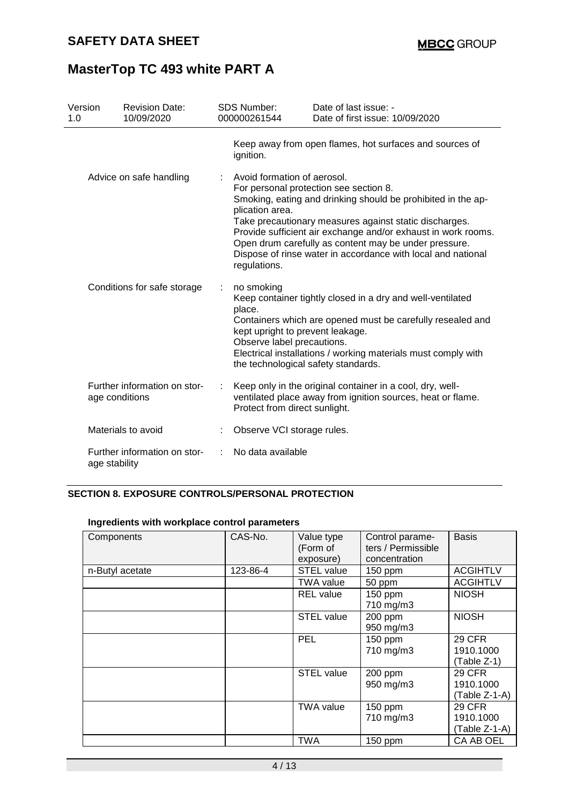| Version<br>1.0 | <b>Revision Date:</b><br>10/09/2020 | SDS Number:<br>000000261544                                                                                                   | Date of last issue: -<br>Date of first issue: 10/09/2020                                                                                                                                                                                                                                                                                                   |
|----------------|-------------------------------------|-------------------------------------------------------------------------------------------------------------------------------|------------------------------------------------------------------------------------------------------------------------------------------------------------------------------------------------------------------------------------------------------------------------------------------------------------------------------------------------------------|
|                |                                     | ignition.                                                                                                                     | Keep away from open flames, hot surfaces and sources of                                                                                                                                                                                                                                                                                                    |
|                | Advice on safe handling             | Avoid formation of aerosol.<br>plication area.<br>regulations.                                                                | For personal protection see section 8.<br>Smoking, eating and drinking should be prohibited in the ap-<br>Take precautionary measures against static discharges.<br>Provide sufficient air exchange and/or exhaust in work rooms.<br>Open drum carefully as content may be under pressure.<br>Dispose of rinse water in accordance with local and national |
|                | Conditions for safe storage         | no smoking<br>place.<br>kept upright to prevent leakage.<br>Observe label precautions.<br>the technological safety standards. | Keep container tightly closed in a dry and well-ventilated<br>Containers which are opened must be carefully resealed and<br>Electrical installations / working materials must comply with                                                                                                                                                                  |
| age conditions | Further information on stor-        | Protect from direct sunlight.                                                                                                 | Keep only in the original container in a cool, dry, well-<br>ventilated place away from ignition sources, heat or flame.                                                                                                                                                                                                                                   |
|                | Materials to avoid                  | Observe VCI storage rules.                                                                                                    |                                                                                                                                                                                                                                                                                                                                                            |
| age stability  | Further information on stor-        | No data available                                                                                                             |                                                                                                                                                                                                                                                                                                                                                            |

#### **SECTION 8. EXPOSURE CONTROLS/PERSONAL PROTECTION**

#### **Ingredients with workplace control parameters**

| Components      | CAS-No.  | Value type<br>(Form of<br>exposure) | Control parame-<br>ters / Permissible<br>concentration | <b>Basis</b>                                |
|-----------------|----------|-------------------------------------|--------------------------------------------------------|---------------------------------------------|
| n-Butyl acetate | 123-86-4 | <b>STEL value</b>                   | $150$ ppm                                              | <b>ACGIHTLV</b>                             |
|                 |          | <b>TWA value</b>                    | 50 ppm                                                 | <b>ACGIHTLV</b>                             |
|                 |          | <b>REL</b> value                    | 150 ppm<br>710 mg/m3                                   | <b>NIOSH</b>                                |
|                 |          | <b>STEL value</b>                   | 200 ppm<br>950 mg/m3                                   | <b>NIOSH</b>                                |
|                 |          | PEL                                 | 150 ppm<br>710 mg/m3                                   | <b>29 CFR</b><br>1910.1000<br>(Table Z-1)   |
|                 |          | <b>STEL value</b>                   | 200 ppm<br>950 mg/m3                                   | <b>29 CFR</b><br>1910.1000<br>(Table Z-1-A) |
|                 |          | <b>TWA value</b>                    | 150 ppm<br>710 mg/m3                                   | <b>29 CFR</b><br>1910.1000<br>(Table Z-1-A) |
|                 |          | <b>TWA</b>                          | 150 ppm                                                | CA AB OEL                                   |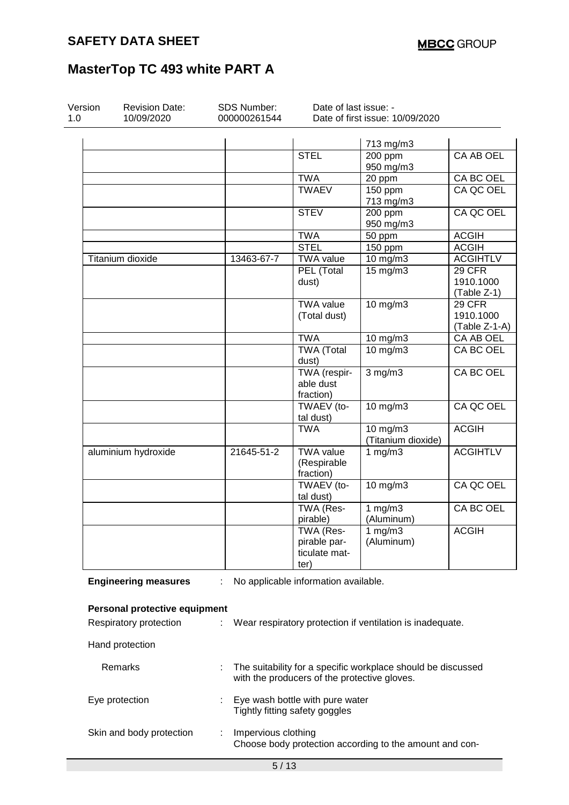| Version<br>1.0 | <b>Revision Date:</b><br>10/09/2020 | <b>SDS Number:</b><br>000000261544                                                                           | Date of last issue: -                | Date of first issue: 10/09/2020                           |                          |  |
|----------------|-------------------------------------|--------------------------------------------------------------------------------------------------------------|--------------------------------------|-----------------------------------------------------------|--------------------------|--|
|                |                                     |                                                                                                              |                                      |                                                           |                          |  |
|                |                                     |                                                                                                              | <b>STEL</b>                          | 713 mg/m3<br>200 ppm                                      | CA AB OEL                |  |
|                |                                     |                                                                                                              |                                      | 950 mg/m3                                                 |                          |  |
|                |                                     |                                                                                                              | <b>TWA</b>                           | 20 ppm                                                    | CA BC OEL                |  |
|                |                                     |                                                                                                              | <b>TWAEV</b>                         | 150 ppm                                                   | CA QC OEL                |  |
|                |                                     |                                                                                                              |                                      | 713 mg/m3                                                 |                          |  |
|                |                                     |                                                                                                              | <b>STEV</b>                          | 200 ppm<br>950 mg/m3                                      | CA QC OEL                |  |
|                |                                     |                                                                                                              | <b>TWA</b>                           | 50 ppm                                                    | <b>ACGIH</b>             |  |
|                |                                     |                                                                                                              | <b>STEL</b>                          | $150$ ppm                                                 | <b>ACGIH</b>             |  |
|                | Titanium dioxide                    | 13463-67-7                                                                                                   | <b>TWA value</b>                     | 10 mg/m3                                                  | <b>ACGIHTLV</b>          |  |
|                |                                     |                                                                                                              | PEL (Total                           | 15 mg/m3                                                  | 29 CFR                   |  |
|                |                                     |                                                                                                              | dust)                                |                                                           | 1910.1000<br>(Table Z-1) |  |
|                |                                     |                                                                                                              | <b>TWA value</b>                     | 10 mg/m3                                                  | 29 CFR                   |  |
|                |                                     |                                                                                                              | (Total dust)                         |                                                           | 1910.1000                |  |
|                |                                     |                                                                                                              |                                      |                                                           | (Table Z-1-A)            |  |
|                |                                     |                                                                                                              | <b>TWA</b>                           | 10 mg/m3                                                  | CA AB OEL                |  |
|                |                                     |                                                                                                              | <b>TWA (Total</b>                    | 10 mg/m3                                                  | CA BC OEL                |  |
|                |                                     |                                                                                                              | dust)                                |                                                           |                          |  |
|                |                                     |                                                                                                              | TWA (respir-                         | $3$ mg/m $3$                                              | CA BC OEL                |  |
|                |                                     |                                                                                                              | able dust                            |                                                           |                          |  |
|                |                                     |                                                                                                              | fraction)                            |                                                           |                          |  |
|                |                                     |                                                                                                              | TWAEV (to-<br>tal dust)              | 10 mg/m3                                                  | CA QC OEL                |  |
|                |                                     |                                                                                                              | <b>TWA</b>                           | 10 mg/m3<br>(Titanium dioxide)                            | <b>ACGIH</b>             |  |
|                | aluminium hydroxide                 | 21645-51-2                                                                                                   | <b>TWA value</b>                     | 1 $mg/m3$                                                 | <b>ACGIHTLV</b>          |  |
|                |                                     |                                                                                                              | (Respirable                          |                                                           |                          |  |
|                |                                     |                                                                                                              | fraction)                            |                                                           |                          |  |
|                |                                     |                                                                                                              | TWAEV (to-                           | 10 mg/m3                                                  | CA QC OEL                |  |
|                |                                     |                                                                                                              | tal dust)                            |                                                           |                          |  |
|                |                                     |                                                                                                              | TWA (Res-                            | 1 $mg/m3$                                                 | CA BC OEL                |  |
|                |                                     |                                                                                                              | pirable)                             | (Aluminum)                                                |                          |  |
|                |                                     |                                                                                                              | TWA (Res-                            | $\frac{1}{1}$ mg/m3                                       | <b>ACGIH</b>             |  |
|                |                                     |                                                                                                              | pirable par-                         | (Aluminum)                                                |                          |  |
|                |                                     |                                                                                                              | ticulate mat-<br>ter)                |                                                           |                          |  |
|                | <b>Engineering measures</b>         |                                                                                                              | No applicable information available. |                                                           |                          |  |
|                |                                     |                                                                                                              |                                      |                                                           |                          |  |
|                | Personal protective equipment       |                                                                                                              |                                      |                                                           |                          |  |
|                | Respiratory protection              |                                                                                                              |                                      | Wear respiratory protection if ventilation is inadequate. |                          |  |
|                | Hand protection                     |                                                                                                              |                                      |                                                           |                          |  |
|                | Remarks                             | The suitability for a specific workplace should be discussed<br>with the producers of the protective gloves. |                                      |                                                           |                          |  |
|                | Eye protection                      | Eye wash bottle with pure water<br>Tightly fitting safety goggles                                            |                                      |                                                           |                          |  |
|                | Skin and body protection            | Impervious clothing<br>Choose body protection according to the amount and con-                               |                                      |                                                           |                          |  |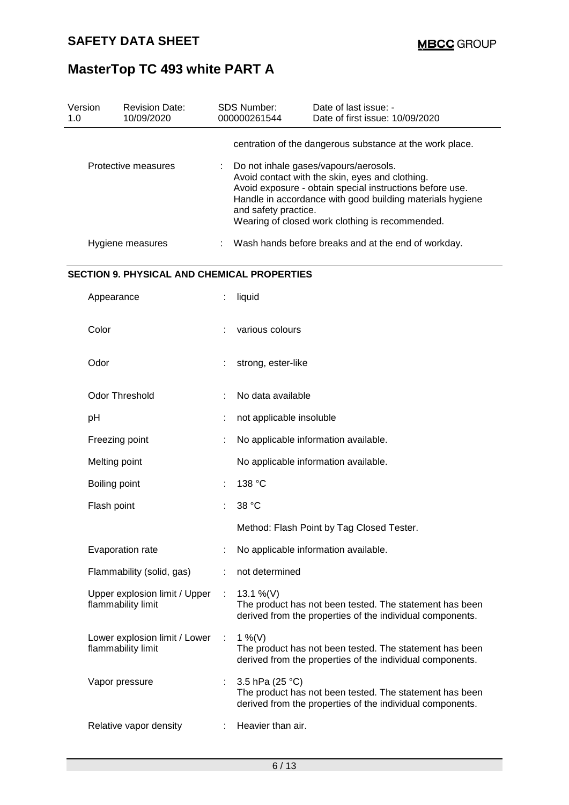| Version<br>1.0      | <b>Revision Date:</b><br>10/09/2020                 |        | SDS Number:<br>000000261544                                                                                                                                                                                                                                                                  | Date of last issue: -<br>Date of first issue: 10/09/2020                                                             |  |  |  |
|---------------------|-----------------------------------------------------|--------|----------------------------------------------------------------------------------------------------------------------------------------------------------------------------------------------------------------------------------------------------------------------------------------------|----------------------------------------------------------------------------------------------------------------------|--|--|--|
|                     |                                                     |        |                                                                                                                                                                                                                                                                                              | centration of the dangerous substance at the work place.                                                             |  |  |  |
| Protective measures |                                                     |        | Do not inhale gases/vapours/aerosols.<br>Avoid contact with the skin, eyes and clothing.<br>Avoid exposure - obtain special instructions before use.<br>Handle in accordance with good building materials hygiene<br>and safety practice.<br>Wearing of closed work clothing is recommended. |                                                                                                                      |  |  |  |
|                     | Hygiene measures                                    |        | Wash hands before breaks and at the end of workday.                                                                                                                                                                                                                                          |                                                                                                                      |  |  |  |
|                     | <b>SECTION 9. PHYSICAL AND CHEMICAL PROPERTIES</b>  |        |                                                                                                                                                                                                                                                                                              |                                                                                                                      |  |  |  |
|                     | Appearance                                          |        | liquid                                                                                                                                                                                                                                                                                       |                                                                                                                      |  |  |  |
|                     | Color                                               |        | various colours                                                                                                                                                                                                                                                                              |                                                                                                                      |  |  |  |
|                     | Odor                                                |        | strong, ester-like                                                                                                                                                                                                                                                                           |                                                                                                                      |  |  |  |
|                     | <b>Odor Threshold</b>                               |        | No data available                                                                                                                                                                                                                                                                            |                                                                                                                      |  |  |  |
|                     | pH                                                  |        | not applicable insoluble                                                                                                                                                                                                                                                                     |                                                                                                                      |  |  |  |
|                     | Freezing point                                      |        | No applicable information available.                                                                                                                                                                                                                                                         |                                                                                                                      |  |  |  |
|                     | Melting point                                       |        |                                                                                                                                                                                                                                                                                              | No applicable information available.                                                                                 |  |  |  |
|                     | Boiling point                                       |        | 138 °C                                                                                                                                                                                                                                                                                       |                                                                                                                      |  |  |  |
|                     | Flash point                                         |        | 38 °C                                                                                                                                                                                                                                                                                        |                                                                                                                      |  |  |  |
|                     |                                                     |        |                                                                                                                                                                                                                                                                                              | Method: Flash Point by Tag Closed Tester.                                                                            |  |  |  |
|                     | Evaporation rate                                    |        |                                                                                                                                                                                                                                                                                              | No applicable information available.                                                                                 |  |  |  |
|                     | Flammability (solid, gas)                           |        | not determined                                                                                                                                                                                                                                                                               |                                                                                                                      |  |  |  |
|                     | Upper explosion limit / Upper<br>flammability limit | ÷      | 13.1 %(V)                                                                                                                                                                                                                                                                                    | The product has not been tested. The statement has been<br>derived from the properties of the individual components. |  |  |  |
|                     | Lower explosion limit / Lower<br>flammability limit | $\sim$ | 1 %(V)                                                                                                                                                                                                                                                                                       | The product has not been tested. The statement has been<br>derived from the properties of the individual components. |  |  |  |
|                     | Vapor pressure                                      |        | 3.5 hPa (25 °C)                                                                                                                                                                                                                                                                              | The product has not been tested. The statement has been<br>derived from the properties of the individual components. |  |  |  |
|                     | Relative vapor density                              |        | Heavier than air.                                                                                                                                                                                                                                                                            |                                                                                                                      |  |  |  |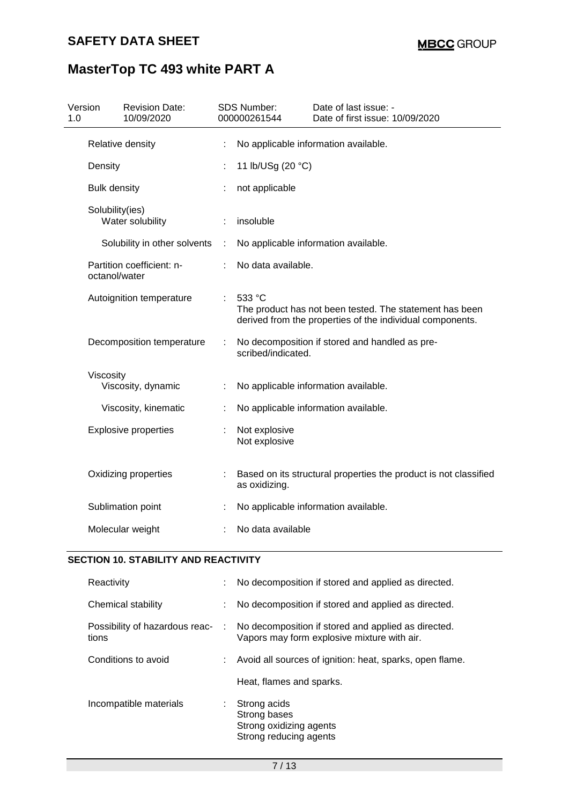| Version<br>1.0 |                     | <b>Revision Date:</b><br>10/09/2020 |   | <b>SDS Number:</b><br>000000261544 | Date of last issue: -<br>Date of first issue: 10/09/2020                                                             |
|----------------|---------------------|-------------------------------------|---|------------------------------------|----------------------------------------------------------------------------------------------------------------------|
|                |                     | Relative density                    |   |                                    | No applicable information available.                                                                                 |
|                | Density             |                                     |   | 11 lb/USg (20 °C)                  |                                                                                                                      |
|                | <b>Bulk density</b> |                                     |   | not applicable                     |                                                                                                                      |
|                | Solubility(ies)     | Water solubility                    |   | insoluble                          |                                                                                                                      |
|                |                     | Solubility in other solvents        | t |                                    | No applicable information available.                                                                                 |
|                | octanol/water       | Partition coefficient: n-           |   | No data available.                 |                                                                                                                      |
|                |                     | Autoignition temperature            | ÷ | 533 °C                             | The product has not been tested. The statement has been<br>derived from the properties of the individual components. |
|                |                     | Decomposition temperature           |   | scribed/indicated.                 | No decomposition if stored and handled as pre-                                                                       |
|                | Viscosity           |                                     |   |                                    |                                                                                                                      |
|                |                     | Viscosity, dynamic                  |   |                                    | No applicable information available.                                                                                 |
|                |                     | Viscosity, kinematic                |   |                                    | No applicable information available.                                                                                 |
|                |                     | <b>Explosive properties</b>         |   | Not explosive<br>Not explosive     |                                                                                                                      |
|                |                     | Oxidizing properties                |   | as oxidizing.                      | Based on its structural properties the product is not classified                                                     |
|                |                     | Sublimation point                   |   |                                    | No applicable information available.                                                                                 |
|                |                     | Molecular weight                    |   | No data available                  |                                                                                                                      |

### **SECTION 10. STABILITY AND REACTIVITY**

| Reactivity                              |   | No decomposition if stored and applied as directed.                                                |
|-----------------------------------------|---|----------------------------------------------------------------------------------------------------|
| Chemical stability                      |   | No decomposition if stored and applied as directed.                                                |
| Possibility of hazardous reac-<br>tions | ÷ | No decomposition if stored and applied as directed.<br>Vapors may form explosive mixture with air. |
| Conditions to avoid                     |   | Avoid all sources of ignition: heat, sparks, open flame.                                           |
|                                         |   | Heat, flames and sparks.                                                                           |
| Incompatible materials                  |   | Strong acids<br>Strong bases<br>Strong oxidizing agents<br>Strong reducing agents                  |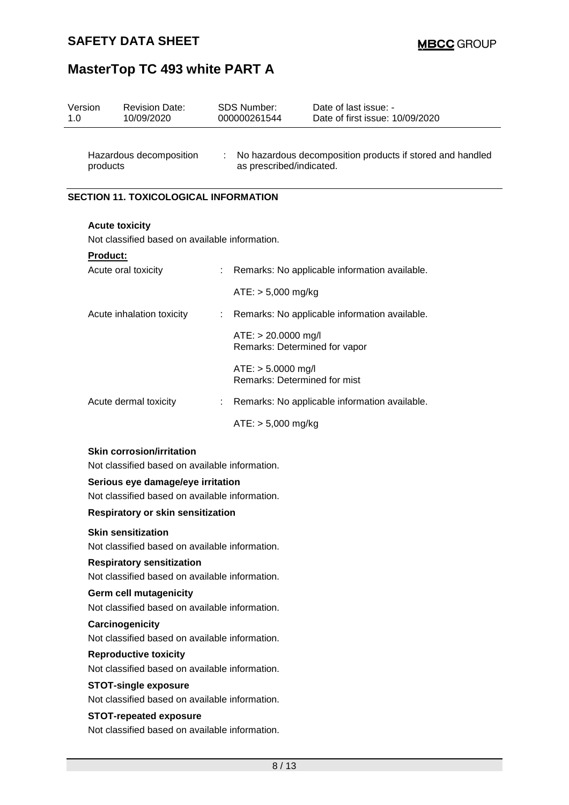| Version<br>1.0                                                                     |          | <b>Revision Date:</b><br>10/09/2020                                           |    | <b>SDS Number:</b><br>000000261544                     | Date of last issue: -<br>Date of first issue: 10/09/2020  |  |
|------------------------------------------------------------------------------------|----------|-------------------------------------------------------------------------------|----|--------------------------------------------------------|-----------------------------------------------------------|--|
|                                                                                    | products | Hazardous decomposition                                                       | ÷  | as prescribed/indicated.                               | No hazardous decomposition products if stored and handled |  |
| <b>SECTION 11. TOXICOLOGICAL INFORMATION</b>                                       |          |                                                                               |    |                                                        |                                                           |  |
|                                                                                    |          | <b>Acute toxicity</b><br>Not classified based on available information.       |    |                                                        |                                                           |  |
|                                                                                    | Product: |                                                                               |    |                                                        |                                                           |  |
|                                                                                    |          | Acute oral toxicity                                                           |    |                                                        | Remarks: No applicable information available.             |  |
|                                                                                    |          |                                                                               |    | $ATE: > 5,000$ mg/kg                                   |                                                           |  |
|                                                                                    |          | Acute inhalation toxicity                                                     | ÷. |                                                        | Remarks: No applicable information available.             |  |
|                                                                                    |          |                                                                               |    | $ATE: > 20.0000$ mg/l<br>Remarks: Determined for vapor |                                                           |  |
|                                                                                    |          |                                                                               |    | $ATE: > 5.0000$ mg/l<br>Remarks: Determined for mist   |                                                           |  |
|                                                                                    |          | Acute dermal toxicity                                                         | ÷. |                                                        | Remarks: No applicable information available.             |  |
|                                                                                    |          |                                                                               |    | $ATE: > 5,000$ mg/kg                                   |                                                           |  |
| <b>Skin corrosion/irritation</b><br>Not classified based on available information. |          |                                                                               |    |                                                        |                                                           |  |
|                                                                                    |          | Serious eye damage/eye irritation                                             |    |                                                        |                                                           |  |
|                                                                                    |          | Not classified based on available information.                                |    |                                                        |                                                           |  |
|                                                                                    |          | Respiratory or skin sensitization                                             |    |                                                        |                                                           |  |
|                                                                                    |          | <b>Skin sensitization</b><br>Not classified based on available information.   |    |                                                        |                                                           |  |
|                                                                                    |          | <b>Respiratory sensitization</b>                                              |    |                                                        |                                                           |  |
|                                                                                    |          | Not classified based on available information.                                |    |                                                        |                                                           |  |
|                                                                                    |          |                                                                               |    |                                                        |                                                           |  |
| Not classified based on available information.<br>Carcinogenicity                  |          |                                                                               |    |                                                        |                                                           |  |
|                                                                                    |          | Not classified based on available information.                                |    |                                                        |                                                           |  |
| <b>Reproductive toxicity</b>                                                       |          |                                                                               |    |                                                        |                                                           |  |
|                                                                                    |          | Not classified based on available information.                                |    |                                                        |                                                           |  |
|                                                                                    |          | <b>STOT-single exposure</b><br>Not classified based on available information. |    |                                                        |                                                           |  |
|                                                                                    |          | <b>STOT-repeated exposure</b>                                                 |    |                                                        |                                                           |  |
|                                                                                    |          | Not classified based on available information.                                |    |                                                        |                                                           |  |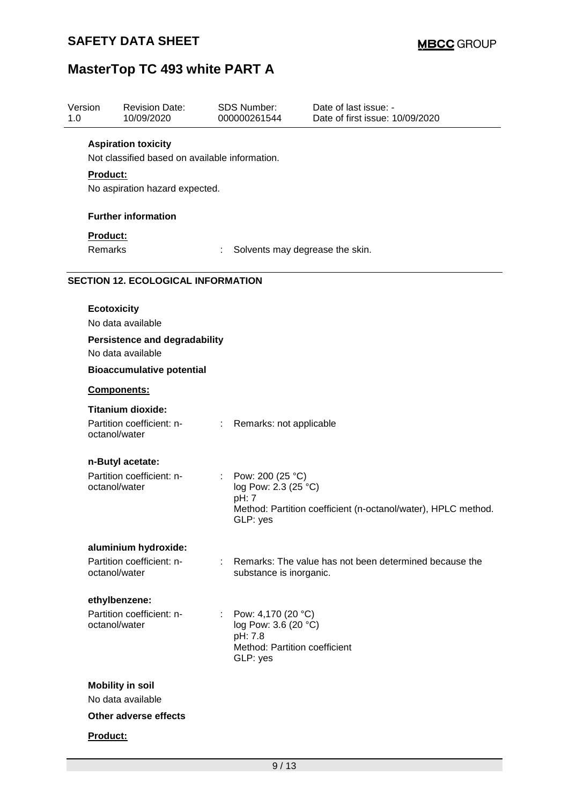| Version<br>1.0 |                                                                     | <b>Revision Date:</b><br>10/09/2020                       |                       | <b>SDS Number:</b><br>000000261544        | Date of last issue: -<br>Date of first issue: 10/09/2020      |  |  |  |  |  |
|----------------|---------------------------------------------------------------------|-----------------------------------------------------------|-----------------------|-------------------------------------------|---------------------------------------------------------------|--|--|--|--|--|
|                |                                                                     | <b>Aspiration toxicity</b>                                |                       |                                           |                                                               |  |  |  |  |  |
|                | Not classified based on available information.                      |                                                           |                       |                                           |                                                               |  |  |  |  |  |
|                | <b>Product:</b>                                                     |                                                           |                       |                                           |                                                               |  |  |  |  |  |
|                |                                                                     | No aspiration hazard expected.                            |                       |                                           |                                                               |  |  |  |  |  |
|                |                                                                     | <b>Further information</b>                                |                       |                                           |                                                               |  |  |  |  |  |
|                | Product:                                                            |                                                           |                       |                                           |                                                               |  |  |  |  |  |
|                | <b>Remarks</b><br>Solvents may degrease the skin.<br>$\ddot{\cdot}$ |                                                           |                       |                                           |                                                               |  |  |  |  |  |
|                |                                                                     | <b>SECTION 12. ECOLOGICAL INFORMATION</b>                 |                       |                                           |                                                               |  |  |  |  |  |
|                | <b>Ecotoxicity</b>                                                  |                                                           |                       |                                           |                                                               |  |  |  |  |  |
|                |                                                                     | No data available                                         |                       |                                           |                                                               |  |  |  |  |  |
|                |                                                                     | <b>Persistence and degradability</b><br>No data available |                       |                                           |                                                               |  |  |  |  |  |
|                |                                                                     | <b>Bioaccumulative potential</b>                          |                       |                                           |                                                               |  |  |  |  |  |
|                |                                                                     | Components:                                               |                       |                                           |                                                               |  |  |  |  |  |
|                |                                                                     | <b>Titanium dioxide:</b>                                  |                       |                                           |                                                               |  |  |  |  |  |
|                |                                                                     | Partition coefficient: n-<br>octanol/water                | $\mathbb{Z}^{\times}$ | Remarks: not applicable                   |                                                               |  |  |  |  |  |
|                |                                                                     | n-Butyl acetate:                                          |                       |                                           |                                                               |  |  |  |  |  |
|                |                                                                     | Partition coefficient: n-                                 | ÷                     | Pow: 200 (25 °C)                          |                                                               |  |  |  |  |  |
|                |                                                                     | octanol/water                                             |                       | log Pow: 2.3 (25 °C)<br>pH: 7             |                                                               |  |  |  |  |  |
|                |                                                                     |                                                           |                       | GLP: yes                                  | Method: Partition coefficient (n-octanol/water), HPLC method. |  |  |  |  |  |
|                |                                                                     | aluminium hydroxide:                                      |                       |                                           |                                                               |  |  |  |  |  |
|                |                                                                     | Partition coefficient: n-<br>octanol/water                | ÷                     | substance is inorganic.                   | Remarks: The value has not been determined because the        |  |  |  |  |  |
|                |                                                                     | ethylbenzene:                                             |                       |                                           |                                                               |  |  |  |  |  |
|                |                                                                     | Partition coefficient: n-                                 |                       | : Pow: 4,170 (20 $^{\circ}$ C)            |                                                               |  |  |  |  |  |
|                |                                                                     | octanol/water                                             |                       | log Pow: 3.6 (20 °C)<br>pH: 7.8           |                                                               |  |  |  |  |  |
|                |                                                                     |                                                           |                       | Method: Partition coefficient<br>GLP: yes |                                                               |  |  |  |  |  |
|                |                                                                     | <b>Mobility in soil</b>                                   |                       |                                           |                                                               |  |  |  |  |  |
|                |                                                                     | No data available                                         |                       |                                           |                                                               |  |  |  |  |  |
|                |                                                                     | Other adverse effects                                     |                       |                                           |                                                               |  |  |  |  |  |
|                | Product:                                                            |                                                           |                       |                                           |                                                               |  |  |  |  |  |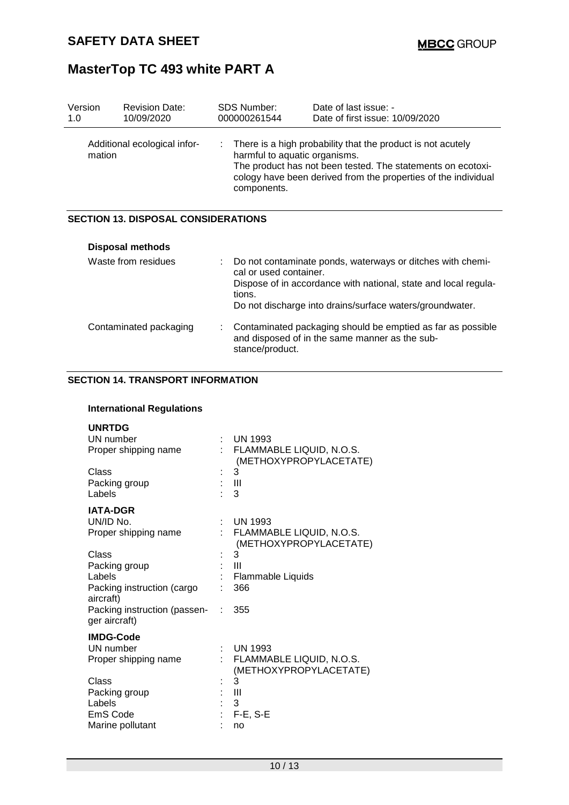| Version<br>1.0          | <b>Revision Date:</b><br>10/09/2020        | <b>SDS Number:</b><br>000000261544                                                                                                                                                                                                                 | Date of last issue: -<br>Date of first issue: 10/09/2020                                                                                                                                  |  |  |  |
|-------------------------|--------------------------------------------|----------------------------------------------------------------------------------------------------------------------------------------------------------------------------------------------------------------------------------------------------|-------------------------------------------------------------------------------------------------------------------------------------------------------------------------------------------|--|--|--|
|                         | Additional ecological infor-<br>mation     | There is a high probability that the product is not acutely<br>t.<br>harmful to aquatic organisms.<br>The product has not been tested. The statements on ecotoxi-<br>cology have been derived from the properties of the individual<br>components. |                                                                                                                                                                                           |  |  |  |
|                         | <b>SECTION 13. DISPOSAL CONSIDERATIONS</b> |                                                                                                                                                                                                                                                    |                                                                                                                                                                                           |  |  |  |
| <b>Disposal methods</b> |                                            |                                                                                                                                                                                                                                                    |                                                                                                                                                                                           |  |  |  |
| Waste from residues     |                                            | cal or used container.<br>tions.                                                                                                                                                                                                                   | Do not contaminate ponds, waterways or ditches with chemi-<br>Dispose of in accordance with national, state and local regula-<br>Do not discharge into drains/surface waters/groundwater. |  |  |  |
|                         | Contaminated packaging                     | ÷.<br>stance/product.                                                                                                                                                                                                                              | Contaminated packaging should be emptied as far as possible<br>and disposed of in the same manner as the sub-                                                                             |  |  |  |

### **SECTION 14. TRANSPORT INFORMATION**

### **International Regulations**

| <b>UNRTDG</b><br>UN number<br>Proper shipping name                                                                                                                  |         | <b>UN 1993</b><br>FLAMMABLE LIQUID, N.O.S.<br>(METHOXYPROPYLACETATE)                                              |
|---------------------------------------------------------------------------------------------------------------------------------------------------------------------|---------|-------------------------------------------------------------------------------------------------------------------|
| Class<br>Packing group<br>Labels                                                                                                                                    |         | 3<br>- 111<br>3                                                                                                   |
| <b>IATA-DGR</b><br>UN/ID No.<br>Proper shipping name<br>Class<br>Packing group<br>Labels<br>Packing instruction (cargo<br>aircraft)<br>Packing instruction (passen- | t.<br>۰ | <b>UN 1993</b><br>FLAMMABLE LIQUID, N.O.S.<br>(METHOXYPROPYLACETATE)<br>3<br>Ш<br>Flammable Liquids<br>366<br>355 |
| ger aircraft)<br><b>IMDG-Code</b><br>UN number<br>Proper shipping name                                                                                              |         | <b>UN 1993</b><br>FLAMMABLE LIQUID, N.O.S.                                                                        |
| Class<br>Packing group<br>Labels<br>EmS Code<br>Marine pollutant                                                                                                    |         | (METHOXYPROPYLACETATE)<br>3<br>Ш<br>3<br>$F-E$ , S-E<br>no                                                        |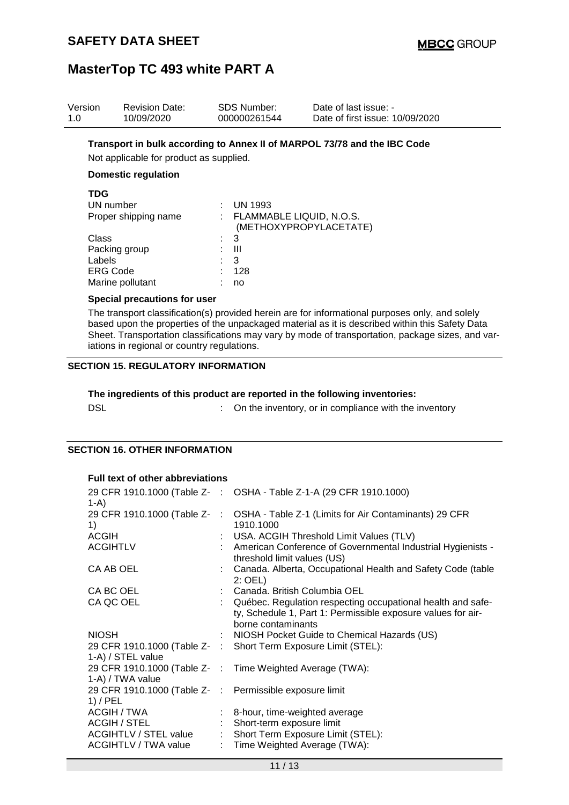| Version    | <b>Revision Date:</b>                                                                                               |   | <b>SDS Number:</b>       | Date of last issue: -           |  |  |  |  |  |
|------------|---------------------------------------------------------------------------------------------------------------------|---|--------------------------|---------------------------------|--|--|--|--|--|
| 1.0        | 10/09/2020                                                                                                          |   | 000000261544             | Date of first issue: 10/09/2020 |  |  |  |  |  |
|            | Transport in bulk according to Annex II of MARPOL 73/78 and the IBC Code<br>Not applicable for product as supplied. |   |                          |                                 |  |  |  |  |  |
|            |                                                                                                                     |   |                          |                                 |  |  |  |  |  |
|            | <b>Domestic regulation</b>                                                                                          |   |                          |                                 |  |  |  |  |  |
| <b>TDG</b> |                                                                                                                     |   |                          |                                 |  |  |  |  |  |
|            | UN number                                                                                                           |   | <b>UN 1993</b>           |                                 |  |  |  |  |  |
|            | Proper shipping name                                                                                                |   | FLAMMABLE LIQUID, N.O.S. | (METHOXYPROPYLACETATE)          |  |  |  |  |  |
| Class      |                                                                                                                     | ÷ | 3                        |                                 |  |  |  |  |  |
|            | Packing group                                                                                                       |   | Ш                        |                                 |  |  |  |  |  |

#### **Special precautions for user**

The transport classification(s) provided herein are for informational purposes only, and solely based upon the properties of the unpackaged material as it is described within this Safety Data Sheet. Transportation classifications may vary by mode of transportation, package sizes, and variations in regional or country regulations.

#### **SECTION 15. REGULATORY INFORMATION**

Labels : 3<br>ERG Code : 128 ERG Code in the set of the set of the set of the set of the set of the set of the set of the set of the set of the set of the set of the set of the set of the set of the set of the set of the set of the set of the set of t Marine pollutant : no

|            | The ingredients of this product are reported in the following inventories: |
|------------|----------------------------------------------------------------------------|
| <b>DSL</b> | On the inventory, or in compliance with the inventory                      |

#### **SECTION 16. OTHER INFORMATION**

#### **Full text of other abbreviations**

| $1-A$                                                                 | 29 CFR 1910.1000 (Table Z- : OSHA - Table Z-1-A (29 CFR 1910.1000)                                                                                  |
|-----------------------------------------------------------------------|-----------------------------------------------------------------------------------------------------------------------------------------------------|
| 29 CFR 1910.1000 (Table Z-                                            | : OSHA - Table Z-1 (Limits for Air Contaminants) 29 CFR                                                                                             |
| 1)                                                                    | 1910.1000                                                                                                                                           |
| <b>ACGIH</b>                                                          | : USA. ACGIH Threshold Limit Values (TLV)                                                                                                           |
| <b>ACGIHTLV</b>                                                       | : American Conference of Governmental Industrial Hygienists -<br>threshold limit values (US)                                                        |
| CA AB OEL                                                             | : Canada. Alberta, Occupational Health and Safety Code (table<br>$2:$ OEL)                                                                          |
| CA BC OEL                                                             | : Canada. British Columbia OEL                                                                                                                      |
| CA QC OEL                                                             | : Québec. Regulation respecting occupational health and safe-<br>ty, Schedule 1, Part 1: Permissible exposure values for air-<br>borne contaminants |
| <b>NIOSH</b>                                                          | : NIOSH Pocket Guide to Chemical Hazards (US)                                                                                                       |
|                                                                       | 29 CFR 1910.1000 (Table Z- : Short Term Exposure Limit (STEL):                                                                                      |
| 1-A) / STEL value                                                     |                                                                                                                                                     |
| 1-A) / TWA value                                                      | 29 CFR 1910.1000 (Table Z- : Time Weighted Average (TWA):                                                                                           |
| 29 CFR 1910.1000 (Table Z- : Permissible exposure limit<br>$1)$ / PEL |                                                                                                                                                     |
| ACGIH / TWA                                                           | : 8-hour, time-weighted average                                                                                                                     |
| ACGIH / STEL                                                          | : Short-term exposure limit                                                                                                                         |
| <b>ACGIHTLV / STEL value</b>                                          | : Short Term Exposure Limit (STEL):                                                                                                                 |
| ACGIHTLV / TWA value                                                  | : Time Weighted Average (TWA):                                                                                                                      |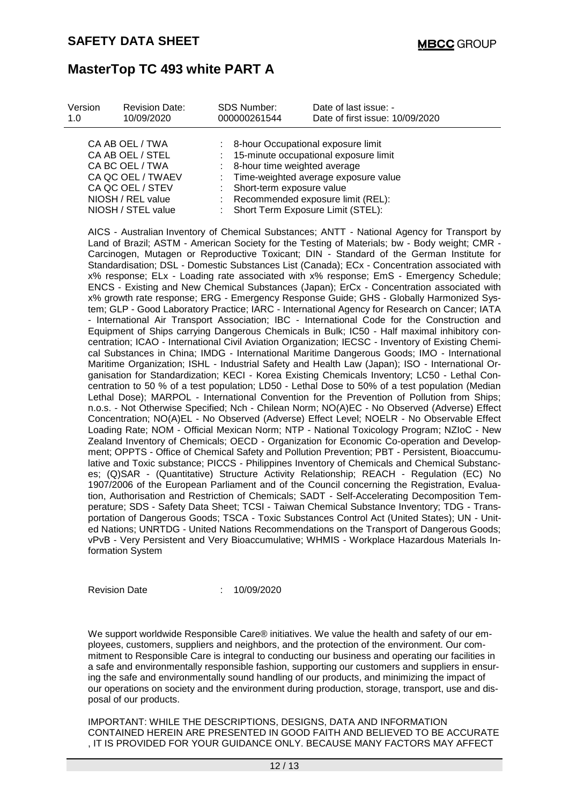| Version                               | <b>Revision Date:</b>                   | <b>SDS Number:</b>                                                        | Date of last issue: -                                                      |  |
|---------------------------------------|-----------------------------------------|---------------------------------------------------------------------------|----------------------------------------------------------------------------|--|
| 1.0                                   | 10/09/2020                              | 000000261544                                                              | Date of first issue: 10/09/2020                                            |  |
|                                       | CA AB OEL / TWA                         |                                                                           | : 8-hour Occupational exposure limit                                       |  |
|                                       | CA AB OEL / STEL<br>CA BC OEL / TWA     | : 15-minute occupational exposure limit<br>: 8-hour time weighted average |                                                                            |  |
| CA QC OEL / TWAEV<br>CA QC OEL / STEV |                                         | : Time-weighted average exposure value<br>: Short-term exposure value     |                                                                            |  |
|                                       | NIOSH / REL value<br>NIOSH / STEL value |                                                                           | : Recommended exposure limit (REL):<br>: Short Term Exposure Limit (STEL): |  |

AICS - Australian Inventory of Chemical Substances; ANTT - National Agency for Transport by Land of Brazil; ASTM - American Society for the Testing of Materials; bw - Body weight; CMR - Carcinogen, Mutagen or Reproductive Toxicant; DIN - Standard of the German Institute for Standardisation; DSL - Domestic Substances List (Canada); ECx - Concentration associated with x% response; ELx - Loading rate associated with x% response; EmS - Emergency Schedule; ENCS - Existing and New Chemical Substances (Japan); ErCx - Concentration associated with x% growth rate response; ERG - Emergency Response Guide; GHS - Globally Harmonized System; GLP - Good Laboratory Practice; IARC - International Agency for Research on Cancer; IATA - International Air Transport Association; IBC - International Code for the Construction and Equipment of Ships carrying Dangerous Chemicals in Bulk; IC50 - Half maximal inhibitory concentration; ICAO - International Civil Aviation Organization; IECSC - Inventory of Existing Chemical Substances in China; IMDG - International Maritime Dangerous Goods; IMO - International Maritime Organization; ISHL - Industrial Safety and Health Law (Japan); ISO - International Organisation for Standardization; KECI - Korea Existing Chemicals Inventory; LC50 - Lethal Concentration to 50 % of a test population; LD50 - Lethal Dose to 50% of a test population (Median Lethal Dose); MARPOL - International Convention for the Prevention of Pollution from Ships; n.o.s. - Not Otherwise Specified; Nch - Chilean Norm; NO(A)EC - No Observed (Adverse) Effect Concentration; NO(A)EL - No Observed (Adverse) Effect Level; NOELR - No Observable Effect Loading Rate; NOM - Official Mexican Norm; NTP - National Toxicology Program; NZIoC - New Zealand Inventory of Chemicals; OECD - Organization for Economic Co-operation and Development; OPPTS - Office of Chemical Safety and Pollution Prevention; PBT - Persistent, Bioaccumulative and Toxic substance; PICCS - Philippines Inventory of Chemicals and Chemical Substances; (Q)SAR - (Quantitative) Structure Activity Relationship; REACH - Regulation (EC) No 1907/2006 of the European Parliament and of the Council concerning the Registration, Evaluation, Authorisation and Restriction of Chemicals; SADT - Self-Accelerating Decomposition Temperature; SDS - Safety Data Sheet; TCSI - Taiwan Chemical Substance Inventory; TDG - Transportation of Dangerous Goods; TSCA - Toxic Substances Control Act (United States); UN - United Nations; UNRTDG - United Nations Recommendations on the Transport of Dangerous Goods; vPvB - Very Persistent and Very Bioaccumulative; WHMIS - Workplace Hazardous Materials Information System

Revision Date : 10/09/2020

We support worldwide Responsible Care® initiatives. We value the health and safety of our employees, customers, suppliers and neighbors, and the protection of the environment. Our commitment to Responsible Care is integral to conducting our business and operating our facilities in a safe and environmentally responsible fashion, supporting our customers and suppliers in ensuring the safe and environmentally sound handling of our products, and minimizing the impact of our operations on society and the environment during production, storage, transport, use and disposal of our products.

IMPORTANT: WHILE THE DESCRIPTIONS, DESIGNS, DATA AND INFORMATION CONTAINED HEREIN ARE PRESENTED IN GOOD FAITH AND BELIEVED TO BE ACCURATE , IT IS PROVIDED FOR YOUR GUIDANCE ONLY. BECAUSE MANY FACTORS MAY AFFECT